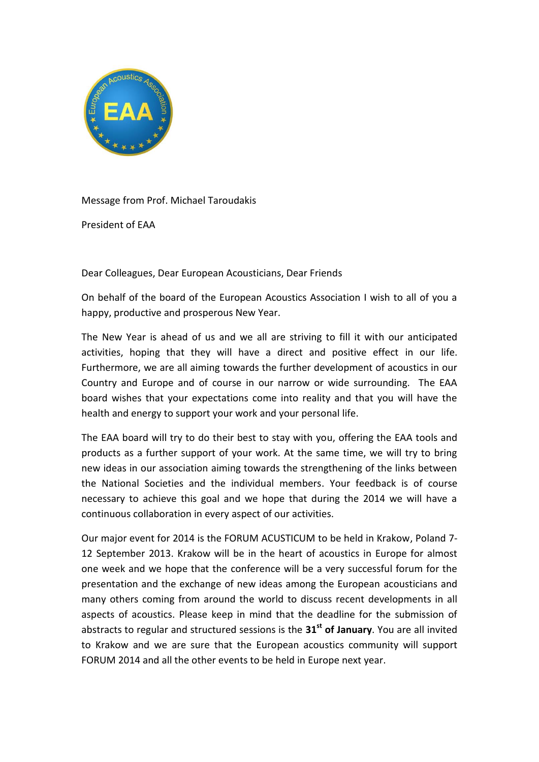

Message from Prof. Michael Taroudakis

President of EAA

Dear Colleagues, Dear European Acousticians, Dear Friends

On behalf of the board of the European Acoustics Association I wish to all of you a happy, productive and prosperous New Year.

The New Year is ahead of us and we all are striving to fill it with our anticipated activities, hoping that they will have a direct and positive effect in our life. Furthermore, we are all aiming towards the further development of acoustics in our Country and Europe and of course in our narrow or wide surrounding. The EAA board wishes that your expectations come into reality and that you will have the health and energy to support your work and your personal life.

The EAA board will try to do their best to stay with you, offering the EAA tools and products as a further support of your work. At the same time, we will try to bring new ideas in our association aiming towards the strengthening of the links between the National Societies and the individual members. Your feedback is of course necessary to achieve this goal and we hope that during the 2014 we will have a continuous collaboration in every aspect of our activities.

Our major event for 2014 is the FORUM ACUSTICUM to be held in Krakow, Poland 7- 12 September 2013. Krakow will be in the heart of acoustics in Europe for almost one week and we hope that the conference will be a very successful forum for the presentation and the exchange of new ideas among the European acousticians and many others coming from around the world to discuss recent developments in all aspects of acoustics. Please keep in mind that the deadline for the submission of abstracts to regular and structured sessions is the **31st of January**. You are all invited to Krakow and we are sure that the European acoustics community will support FORUM 2014 and all the other events to be held in Europe next year.